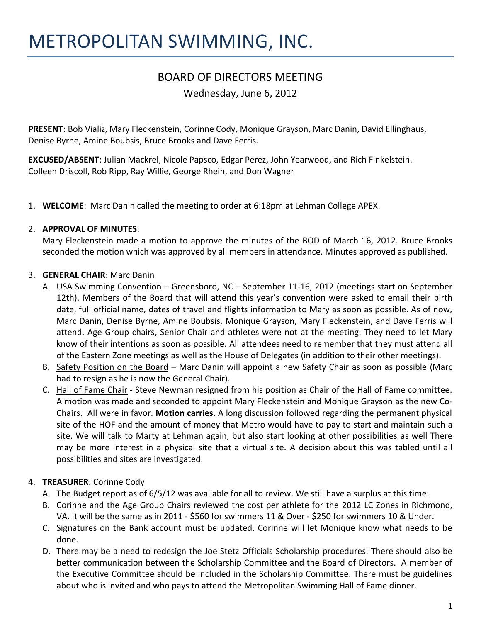# BOARD OF DIRECTORS MEETING

Wednesday, June 6, 2012

**PRESENT**: Bob Vializ, Mary Fleckenstein, Corinne Cody, Monique Grayson, Marc Danin, David Ellinghaus, Denise Byrne, Amine Boubsis, Bruce Brooks and Dave Ferris.

**EXCUSED/ABSENT**: Julian Mackrel, Nicole Papsco, Edgar Perez, John Yearwood, and Rich Finkelstein. Colleen Driscoll, Rob Ripp, Ray Willie, George Rhein, and Don Wagner

1. **WELCOME**: Marc Danin called the meeting to order at 6:18pm at Lehman College APEX.

## 2. **APPROVAL OF MINUTES**:

Mary Fleckenstein made a motion to approve the minutes of the BOD of March 16, 2012. Bruce Brooks seconded the motion which was approved by all members in attendance. Minutes approved as published.

## 3. **GENERAL CHAIR**: Marc Danin

- A. USA Swimming Convention Greensboro, NC September 11-16, 2012 (meetings start on September 12th). Members of the Board that will attend this year's convention were asked to email their birth date, full official name, dates of travel and flights information to Mary as soon as possible. As of now, Marc Danin, Denise Byrne, Amine Boubsis, Monique Grayson, Mary Fleckenstein, and Dave Ferris will attend. Age Group chairs, Senior Chair and athletes were not at the meeting. They need to let Mary know of their intentions as soon as possible. All attendees need to remember that they must attend all of the Eastern Zone meetings as well as the House of Delegates (in addition to their other meetings).
- B. Safety Position on the Board Marc Danin will appoint a new Safety Chair as soon as possible (Marc had to resign as he is now the General Chair).
- C. Hall of Fame Chair Steve Newman resigned from his position as Chair of the Hall of Fame committee. A motion was made and seconded to appoint Mary Fleckenstein and Monique Grayson as the new Co-Chairs. All were in favor. **Motion carries**. A long discussion followed regarding the permanent physical site of the HOF and the amount of money that Metro would have to pay to start and maintain such a site. We will talk to Marty at Lehman again, but also start looking at other possibilities as well There may be more interest in a physical site that a virtual site. A decision about this was tabled until all possibilities and sites are investigated.

# 4. **TREASURER**: Corinne Cody

- A. The Budget report as of 6/5/12 was available for all to review. We still have a surplus at this time.
- B. Corinne and the Age Group Chairs reviewed the cost per athlete for the 2012 LC Zones in Richmond, VA. It will be the same as in 2011 - \$560 for swimmers 11 & Over - \$250 for swimmers 10 & Under.
- C. Signatures on the Bank account must be updated. Corinne will let Monique know what needs to be done.
- D. There may be a need to redesign the Joe Stetz Officials Scholarship procedures. There should also be better communication between the Scholarship Committee and the Board of Directors. A member of the Executive Committee should be included in the Scholarship Committee. There must be guidelines about who is invited and who pays to attend the Metropolitan Swimming Hall of Fame dinner.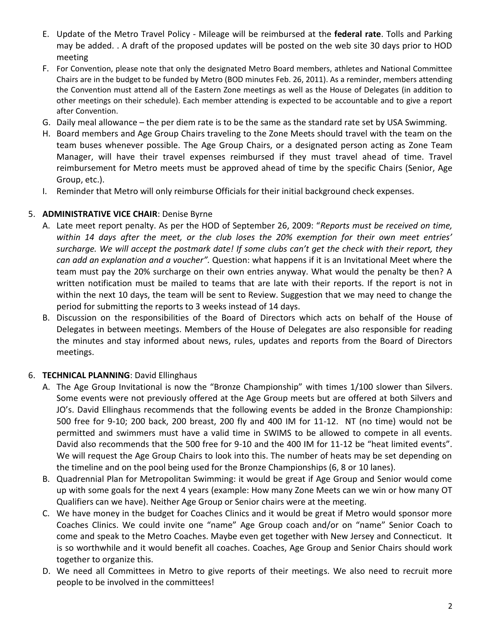- E. Update of the Metro Travel Policy Mileage will be reimbursed at the **federal rate**. Tolls and Parking may be added. . A draft of the proposed updates will be posted on the web site 30 days prior to HOD meeting
- F. For Convention, please note that only the designated Metro Board members, athletes and National Committee Chairs are in the budget to be funded by Metro (BOD minutes Feb. 26, 2011). As a reminder, members attending the Convention must attend all of the Eastern Zone meetings as well as the House of Delegates (in addition to other meetings on their schedule). Each member attending is expected to be accountable and to give a report after Convention.
- G. Daily meal allowance the per diem rate is to be the same as the standard rate set by USA Swimming.
- H. Board members and Age Group Chairs traveling to the Zone Meets should travel with the team on the team buses whenever possible. The Age Group Chairs, or a designated person acting as Zone Team Manager, will have their travel expenses reimbursed if they must travel ahead of time. Travel reimbursement for Metro meets must be approved ahead of time by the specific Chairs (Senior, Age Group, etc.).
- I. Reminder that Metro will only reimburse Officials for their initial background check expenses.

## 5. **ADMINISTRATIVE VICE CHAIR**: Denise Byrne

- A. Late meet report penalty. As per the HOD of September 26, 2009: "*Reports must be received on time, within 14 days after the meet, or the club loses the 20% exemption for their own meet entries' surcharge. We will accept the postmark date! If some clubs can't get the check with their report, they can add an explanation and a voucher".* Question: what happens if it is an Invitational Meet where the team must pay the 20% surcharge on their own entries anyway. What would the penalty be then? A written notification must be mailed to teams that are late with their reports. If the report is not in within the next 10 days, the team will be sent to Review. Suggestion that we may need to change the period for submitting the reports to 3 weeks instead of 14 days.
- B. Discussion on the responsibilities of the Board of Directors which acts on behalf of the House of Delegates in between meetings. Members of the House of Delegates are also responsible for reading the minutes and stay informed about news, rules, updates and reports from the Board of Directors meetings.

# 6. **TECHNICAL PLANNING**: David Ellinghaus

- A. The Age Group Invitational is now the "Bronze Championship" with times 1/100 slower than Silvers. Some events were not previously offered at the Age Group meets but are offered at both Silvers and JO's. David Ellinghaus recommends that the following events be added in the Bronze Championship: 500 free for 9-10; 200 back, 200 breast, 200 fly and 400 IM for 11-12. NT (no time) would not be permitted and swimmers must have a valid time in SWIMS to be allowed to compete in all events. David also recommends that the 500 free for 9-10 and the 400 IM for 11-12 be "heat limited events". We will request the Age Group Chairs to look into this. The number of heats may be set depending on the timeline and on the pool being used for the Bronze Championships (6, 8 or 10 lanes).
- B. Quadrennial Plan for Metropolitan Swimming: it would be great if Age Group and Senior would come up with some goals for the next 4 years (example: How many Zone Meets can we win or how many OT Qualifiers can we have). Neither Age Group or Senior chairs were at the meeting.
- C. We have money in the budget for Coaches Clinics and it would be great if Metro would sponsor more Coaches Clinics. We could invite one "name" Age Group coach and/or on "name" Senior Coach to come and speak to the Metro Coaches. Maybe even get together with New Jersey and Connecticut. It is so worthwhile and it would benefit all coaches. Coaches, Age Group and Senior Chairs should work together to organize this.
- D. We need all Committees in Metro to give reports of their meetings. We also need to recruit more people to be involved in the committees!